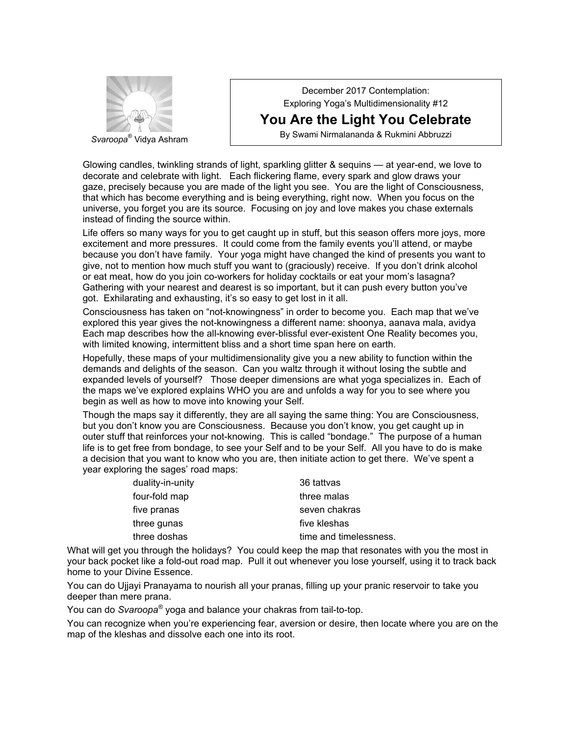

December 2017 Contemplation: Exploring Yoga's Multidimensionality #12

## **You Are the Light You Celebrate**

By Swami Nirmalananda & Rukmini Abbruzzi *Svaroopa*® Vidya Ashram

Glowing candles, twinkling strands of light, sparkling glitter & sequins — at year-end, we love to decorate and celebrate with light. Each flickering flame, every spark and glow draws your gaze, precisely because you are made of the light you see. You are the light of Consciousness, that which has become everything and is being everything, right now. When you focus on the universe, you forget you are its source. Focusing on joy and love makes you chase externals instead of finding the source within.

Life offers so many ways for you to get caught up in stuff, but this season offers more joys, more excitement and more pressures. It could come from the family events you'll attend, or maybe because you don't have family. Your yoga might have changed the kind of presents you want to give, not to mention how much stuff you want to (graciously) receive. If you don't drink alcohol or eat meat, how do you join co-workers for holiday cocktails or eat your mom's lasagna? Gathering with your nearest and dearest is so important, but it can push every button you've got. Exhilarating and exhausting, it's so easy to get lost in it all.

Consciousness has taken on "not-knowingness" in order to become you. Each map that we've explored this year gives the not-knowingness a different name: shoonya, aanava mala, avidya Each map describes how the all-knowing ever-blissful ever-existent One Reality becomes you, with limited knowing, intermittent bliss and a short time span here on earth.

Hopefully, these maps of your multidimensionality give you a new ability to function within the demands and delights of the season. Can you waltz through it without losing the subtle and expanded levels of yourself? Those deeper dimensions are what yoga specializes in. Each of the maps we've explored explains WHO you are and unfolds a way for you to see where you begin as well as how to move into knowing your Self.

Though the maps say it differently, they are all saying the same thing: You are Consciousness, but you don't know you are Consciousness. Because you don't know, you get caught up in outer stuff that reinforces your not-knowing. This is called "bondage." The purpose of a human life is to get free from bondage, to see your Self and to be your Self. All you have to do is make a decision that you want to know who you are, then initiate action to get there. We've spent a year exploring the sages' road maps:

| 36 tattvas             |
|------------------------|
| three malas            |
| seven chakras          |
| five kleshas           |
| time and timelessness. |
|                        |

What will get you through the holidays? You could keep the map that resonates with you the most in your back pocket like a fold-out road map. Pull it out whenever you lose yourself, using it to track back home to your Divine Essence.

You can do Ujjayi Pranayama to nourish all your pranas, filling up your pranic reservoir to take you deeper than mere prana.

You can do *Svaroopa®* yoga and balance your chakras from tail-to-top.

You can recognize when you're experiencing fear, aversion or desire, then locate where you are on the map of the kleshas and dissolve each one into its root.